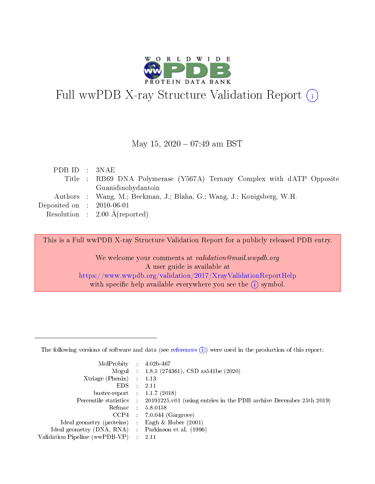

# Full wwPDB X-ray Structure Validation Report (i)

#### May 15,  $2020 - 07:49$  am BST

| PDB ID : 3NAE               |                                                                        |
|-----------------------------|------------------------------------------------------------------------|
|                             | Title : RB69 DNA Polymerase (Y567A) Ternary Complex with dATP Opposite |
|                             | Guanidinohydantoin                                                     |
|                             | Authors : Wang, M.; Beckman, J.; Blaha, G.; Wang, J.; Konigsberg, W.H. |
| Deposited on : $2010-06-01$ |                                                                        |
|                             | Resolution : $2.00 \text{ Å}$ (reported)                               |

This is a Full wwPDB X-ray Structure Validation Report for a publicly released PDB entry.

We welcome your comments at validation@mail.wwpdb.org A user guide is available at <https://www.wwpdb.org/validation/2017/XrayValidationReportHelp> with specific help available everywhere you see the  $(i)$  symbol.

The following versions of software and data (see [references](https://www.wwpdb.org/validation/2017/XrayValidationReportHelp#references)  $(1)$ ) were used in the production of this report:

| MolProbity                     | $\mathcal{L}_{\rm{max}}$ | $4.02b - 467$                                                                |
|--------------------------------|--------------------------|------------------------------------------------------------------------------|
|                                |                          | Mogul : $1.8.5$ (274361), CSD as 541be (2020)                                |
| $X$ triage (Phenix) :          |                          | 1.13                                                                         |
| EDS.                           |                          | 2.11                                                                         |
| buster-report : $1.1.7$ (2018) |                          |                                                                              |
| Percentile statistics :        |                          | $20191225 \text{ v}01$ (using entries in the PDB archive December 25th 2019) |
| Refmac                         |                          | 5.8.0158                                                                     |
| $CCP4$ :                       |                          | $7.0.044$ (Gargrove)                                                         |
| Ideal geometry (proteins) :    |                          | Engh $\&$ Huber (2001)                                                       |
| Ideal geometry (DNA, RNA) :    |                          | Parkinson et al. (1996)                                                      |
| Validation Pipeline (wwPDB-VP) | $\mathcal{L}$            | -2.11                                                                        |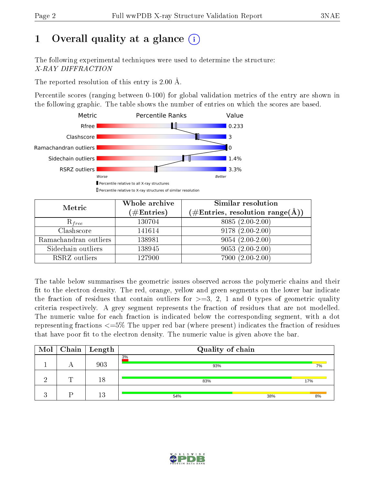# 1 [O](https://www.wwpdb.org/validation/2017/XrayValidationReportHelp#overall_quality)verall quality at a glance  $(i)$

The following experimental techniques were used to determine the structure: X-RAY DIFFRACTION

The reported resolution of this entry is 2.00 Å.

Percentile scores (ranging between 0-100) for global validation metrics of the entry are shown in the following graphic. The table shows the number of entries on which the scores are based.



| Metric                | Whole archive<br>$(\#\text{Entries})$ | Similar resolution<br>$(\#\text{Entries},\, \text{resolution}\; \text{range}(\textup{\AA}))$ |
|-----------------------|---------------------------------------|----------------------------------------------------------------------------------------------|
| $R_{free}$            | 130704                                | $8085(2.00-2.00)$                                                                            |
| Clashscore            | 141614                                | $9178(2.00-2.00)$                                                                            |
| Ramachandran outliers | 138981                                | $9054(2.00-2.00)$                                                                            |
| Sidechain outliers    | 138945                                | $9053(2.00-2.00)$                                                                            |
| RSRZ outliers         | 127900                                | 7900 (2.00-2.00)                                                                             |

The table below summarises the geometric issues observed across the polymeric chains and their fit to the electron density. The red, orange, yellow and green segments on the lower bar indicate the fraction of residues that contain outliers for  $>=3, 2, 1$  and 0 types of geometric quality criteria respectively. A grey segment represents the fraction of residues that are not modelled. The numeric value for each fraction is indicated below the corresponding segment, with a dot representing fractions  $\epsilon=5\%$  The upper red bar (where present) indicates the fraction of residues that have poor fit to the electron density. The numeric value is given above the bar.

| $\bf{Mol}$ |   | $\mid$ Chain $\mid$ Length | Quality of chain |     |     |
|------------|---|----------------------------|------------------|-----|-----|
|            |   | 903                        | 3%<br>93%        |     | 7%  |
|            | ┯ | 18                         | 83%              |     | 17% |
|            |   | 13                         | 54%              | 38% | 8%  |

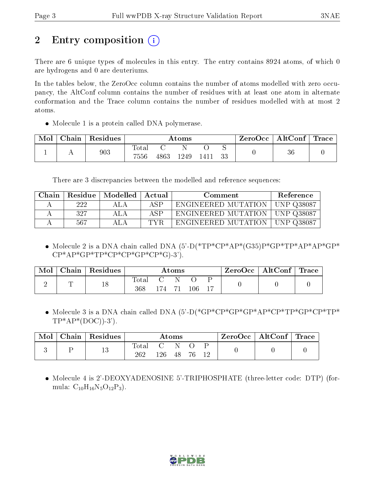# 2 Entry composition  $\left( \cdot \right)$

There are 6 unique types of molecules in this entry. The entry contains 8924 atoms, of which 0 are hydrogens and 0 are deuteriums.

In the tables below, the ZeroOcc column contains the number of atoms modelled with zero occupancy, the AltConf column contains the number of residues with at least one atom in alternate conformation and the Trace column contains the number of residues modelled with at most 2 atoms.

• Molecule 1 is a protein called DNA polymerase.

| Mol | Chain | Residues |               |      | Atoms |      |    | ZeroOcc | AltConf | Trace |
|-----|-------|----------|---------------|------|-------|------|----|---------|---------|-------|
|     |       | 903      | Total<br>7556 | 4863 | 1249  | 1411 | 33 |         | 36      |       |

There are 3 discrepancies between the modelled and reference sequences:

| Chain |     | Residue   Modelled | Actual | Comment                                 | Reference |
|-------|-----|--------------------|--------|-----------------------------------------|-----------|
|       | 222 | A LA               | ASP    | ENGINEERED MUTATION   UNP Q38087        |           |
|       | 327 | ALA                | ASP    | ENGINEERED MUTATION   UNP Q38087        |           |
|       | 567 |                    | TVR    | <b>ENGINEERED MUTATION   UNP Q38087</b> |           |

• Molecule 2 is a DNA chain called DNA  $(5)-D(*TP*CP*AP*(G35)P*GP*TP*AP*AP*GP*GP*)$  $CP^*AP^*GP^*TP^*CP^*CP^*GP^*CP^*GP^*G$ .3').

| Mol | ${\rm Chain}$ | Residues |                    |     | Atoms |         | ZeroOcc | $\mid$ AltConf $\mid$ | $\Gamma$ Trace |
|-----|---------------|----------|--------------------|-----|-------|---------|---------|-----------------------|----------------|
|     |               | 18       | $\rm Total$<br>368 | 174 |       | $106\,$ |         |                       |                |

• Molecule 3 is a DNA chain called DNA (5'-D(\*GP\*CP\*GP\*GP\*AP\*CP\*TP\*GP\*CP\*TP\*  $TP^*AP^*(DOC)$ -3').

| Chain | Residues |               |     | $\rm{Atoms}$ |  | $\text{ZeroOcc} \mid \text{AltConf} \mid \text{Trace}$ |  |
|-------|----------|---------------|-----|--------------|--|--------------------------------------------------------|--|
|       | 13       | l'otal<br>262 | -26 |              |  |                                                        |  |

• Molecule 4 is 2'-DEOXYADENOSINE 5'-TRIPHOSPHATE (three-letter code: DTP) (formula:  $C_{10}H_{16}N_5O_{12}P_3$ .

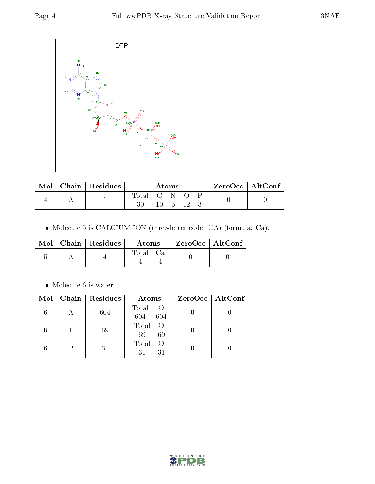

| Mol | Chain   Residues |             | Atoms |  | $ZeroOcc \   \ AltConf \$ |  |
|-----|------------------|-------------|-------|--|---------------------------|--|
|     |                  | Total C N O |       |  |                           |  |
|     |                  |             |       |  |                           |  |

Molecule 5 is CALCIUM ION (three-letter code: CA) (formula: Ca).

|  | $\text{Mol}$   Chain   Residues | Atoms | ZeroOcc   AltConf |
|--|---------------------------------|-------|-------------------|
|  |                                 | Total |                   |

 $\bullet\,$  Molecule 6 is water.

| Mol |   | Chain Residues | Atoms                      | $ZeroOcc \mid AltConf \mid$ |
|-----|---|----------------|----------------------------|-----------------------------|
|     |   | 604            | Total<br>- O<br>604<br>604 |                             |
|     | T | 69             | Total<br>- O<br>69<br>69   |                             |
|     |   | 31             | Total<br>- ()<br>31<br>31  |                             |

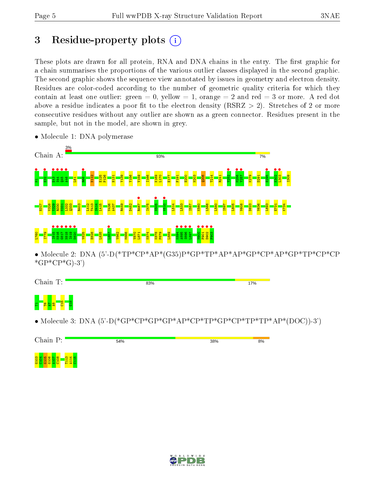## 3 Residue-property plots  $(i)$

These plots are drawn for all protein, RNA and DNA chains in the entry. The first graphic for a chain summarises the proportions of the various outlier classes displayed in the second graphic. The second graphic shows the sequence view annotated by issues in geometry and electron density. Residues are color-coded according to the number of geometric quality criteria for which they contain at least one outlier: green  $= 0$ , yellow  $= 1$ , orange  $= 2$  and red  $= 3$  or more. A red dot above a residue indicates a poor fit to the electron density (RSRZ  $> 2$ ). Stretches of 2 or more consecutive residues without any outlier are shown as a green connector. Residues present in the sample, but not in the model, are shown in grey.



• Molecule 1: DNA polymerase

Chain T: 83%  $17%$ <mark>명 '曼덯리</mark>그  $\frac{8}{15}$ • Molecule 3: DNA  $(5^{\circ}D(*\text{GP}^*\text{CP}^*\text{GP}^*\text{GP}^*\text{CP}^*\text{TP}^*\text{CP}^*\text{CP}^*\text{TP}^*\text{TP}^*\text{TP}^*\text{AP}^*(\text{DOC})-3')$ 



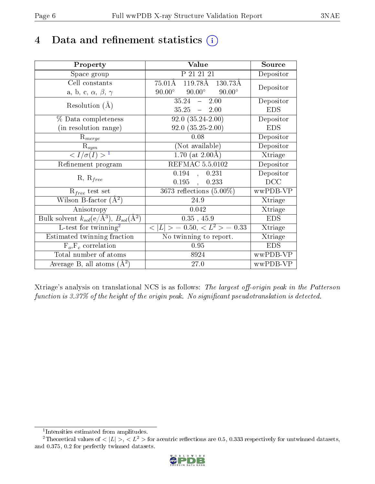# 4 Data and refinement statistics  $(i)$

| Property                                                             | Value                                            | Source     |
|----------------------------------------------------------------------|--------------------------------------------------|------------|
| Space group                                                          | P 21 21 21                                       | Depositor  |
| Cell constants                                                       | 119.78Å 130.73Å<br>$75.01\text{\AA}$             |            |
| a, b, c, $\alpha$ , $\beta$ , $\gamma$                               | $90.00^{\circ}$ $90.00^{\circ}$<br>$90.00^\circ$ | Depositor  |
| Resolution $(A)$                                                     | 35.24<br>2.00<br>$\frac{1}{2}$                   | Depositor  |
|                                                                      | $35.25 - 2.00$                                   | <b>EDS</b> |
| % Data completeness                                                  | $92.0(35.24-2.00)$                               | Depositor  |
| (in resolution range)                                                | $92.0(35.25-2.00)$                               | <b>EDS</b> |
| $R_{merge}$                                                          | 0.08                                             | Depositor  |
| $\mathbf{R}_{sym}$                                                   | (Not available)                                  | Depositor  |
| $\sqrt{I/\sigma}(I) > 1$                                             | $1.70$ (at $2.00\text{\AA}$ )                    | Xtriage    |
| Refinement program                                                   | REFMAC 5.5.0102                                  | Depositor  |
|                                                                      | 0.194<br>0.231<br>Й,                             | Depositor  |
| $R, R_{free}$                                                        | 0.195<br>0.233<br>$\mathbf{r}$                   | DCC        |
| $R_{free}$ test set                                                  | 3673 reflections $(5.00\%)$                      | wwPDB-VP   |
| Wilson B-factor $(A^2)$                                              | 24.9                                             | Xtriage    |
| Anisotropy                                                           | 0.042                                            | Xtriage    |
| Bulk solvent $k_{sol}(e/\mathring{A}^3)$ , $B_{sol}(\mathring{A}^2)$ | $0.35$ , $45.9$                                  | <b>EDS</b> |
| L-test for twinning <sup>2</sup>                                     | $< L >$ = 0.50, $< L^2 >$ = 0.33                 | Xtriage    |
| Estimated twinning fraction                                          | No twinning to report.                           | Xtriage    |
| $F_o, F_c$ correlation                                               | 0.95                                             | <b>EDS</b> |
| Total number of atoms                                                | 8924                                             | wwPDB-VP   |
| Average B, all atoms $(A^2)$                                         | 27.0                                             | wwPDB-VP   |

Xtriage's analysis on translational NCS is as follows: The largest off-origin peak in the Patterson function is  $3.37\%$  of the height of the origin peak. No significant pseudotranslation is detected.

<sup>&</sup>lt;sup>2</sup>Theoretical values of  $\langle |L| \rangle$ ,  $\langle L^2 \rangle$  for acentric reflections are 0.5, 0.333 respectively for untwinned datasets, and 0.375, 0.2 for perfectly twinned datasets.



<span id="page-5-1"></span><span id="page-5-0"></span><sup>1</sup> Intensities estimated from amplitudes.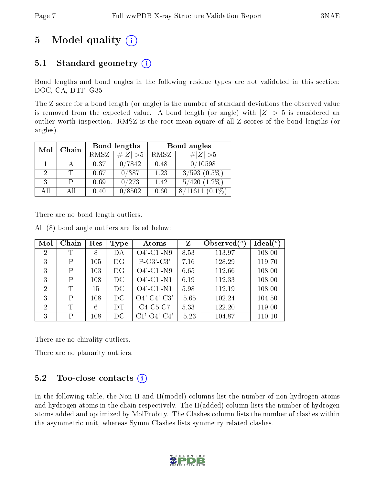# 5 Model quality  $(i)$

### 5.1 Standard geometry  $(i)$

Bond lengths and bond angles in the following residue types are not validated in this section: DOC, CA, DTP, G35

The Z score for a bond length (or angle) is the number of standard deviations the observed value is removed from the expected value. A bond length (or angle) with  $|Z| > 5$  is considered an outlier worth inspection. RMSZ is the root-mean-square of all Z scores of the bond lengths (or angles).

| Mol | Chain |      | Bond lengths | Bond angles |                    |  |
|-----|-------|------|--------------|-------------|--------------------|--|
|     |       | RMSZ | $\# Z  > 5$  | RMSZ        | # $ Z >5$          |  |
|     |       | 0.37 | 0/7842       | 0.48        | 0/10598            |  |
|     |       | 0.67 | 0/387        | 1.23        | $3/593$ $(0.5\%)$  |  |
| 3   |       | 0.69 | 0/273        | 1.42        | $(1.2\%)$<br>5/420 |  |
| АĦ  | АH    | 0.40 | 0/8502       | 0.60        |                    |  |

There are no bond length outliers.

All (8) bond angle outliers are listed below:

| Mol            | Chain | Res | <b>Type</b> | Atoms                 | Z       | Observed $\binom{o}{c}$ | Ideal(°) |
|----------------|-------|-----|-------------|-----------------------|---------|-------------------------|----------|
| $\overline{2}$ | Т     | 8   | DА          | $O4'$ -C1'-N9         | 8.53    | 113.97                  | 108.00   |
| 3              | P     | 105 | DG          | $P-O3'-C3'$           | 7.16    | 128.29                  | 119.70   |
| 3              | P     | 103 | DG          | $O4'$ -C1'-N9         | 6.65    | 112.66                  | 108.00   |
| 3              | P     | 108 | DC          | $O4'$ -C1'-N1         | 6.19    | 112.33                  | 108.00   |
| $\overline{2}$ | T     | 15  | DC          | $O4'$ -C1'-N1         | 5.98    | 112.19                  | 108.00   |
| 3              | P     | 108 | DC          | $O4'$ -C4'-C3'        | $-5.65$ | 102.24                  | 104.50   |
| $\overline{2}$ | T     | 6   | DT          | $C4-C5-C7$            | 5.33    | 122.20                  | 119.00   |
| 3              | P     | 108 | DС          | $C1'$ - $O4'$ - $C4'$ | $-5.23$ | 104.87                  | 110.10   |

There are no chirality outliers.

There are no planarity outliers.

### $5.2$  Too-close contacts  $(i)$

In the following table, the Non-H and H(model) columns list the number of non-hydrogen atoms and hydrogen atoms in the chain respectively. The H(added) column lists the number of hydrogen atoms added and optimized by MolProbity. The Clashes column lists the number of clashes within the asymmetric unit, whereas Symm-Clashes lists symmetry related clashes.

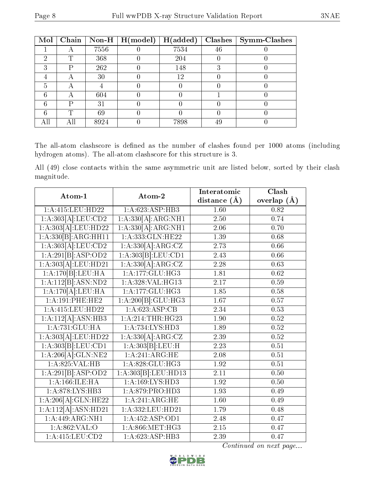| Mol |   |      | Chain   Non-H   $H (model)$ | H(added) |    | $Clashes$   Symm-Clashes |
|-----|---|------|-----------------------------|----------|----|--------------------------|
|     |   | 7556 |                             | 7534     | 46 |                          |
| റ   | T | 368  |                             | 204      |    |                          |
| 3   | D | 262  |                             | 148      |    |                          |
|     |   | 30   |                             | 12       |    |                          |
| 5   |   |      |                             |          |    |                          |
| 6   |   | 604  |                             |          |    |                          |
| հ   | D | 31   |                             |          |    |                          |
|     | ጥ | 69   |                             |          |    |                          |
|     |   | 8924 |                             | 7898     | 49 |                          |

The all-atom clashscore is defined as the number of clashes found per 1000 atoms (including hydrogen atoms). The all-atom clashscore for this structure is 3.

All (49) close contacts within the same asymmetric unit are listed below, sorted by their clash magnitude.

| Atom-1              | Atom-2               | Interatomic       | Clash             |  |
|---------------------|----------------------|-------------------|-------------------|--|
|                     |                      | distance $(A)$    | overlap $(A)$     |  |
| $1:$ A:415:LEU:HD22 | 1:A:623:ASP:HB3      | 1.60              | 0.82              |  |
| 1:A:303[A]:LEU:CD2  | 1:A:330[A]:ARG:NH1   | 2.50              | 0.74              |  |
| 1:A:303[A]:LEU:HD22 | 1:A:330[A]:ARG:NH1   | 2.06              | 0.70              |  |
| 1:A:330[B]:ARG:HH11 | 1: A: 333: GLN: HE22 | 1.39              | 0.68              |  |
| 1:A:303[A]:LEU:CD2  | 1:A:330[A].ARG:CZ    | 2.73              | 0.66              |  |
| 1:A:291[B]:ASP:OD2  | 1:A:303[B]:LEU:CD1   | 2.43              | 0.66              |  |
| 1:A:303[A]:LEU:HD21 | 1:A:330[A]:ARG:CZ    | 2.28              | 0.63              |  |
| 1:A:170[B]:LEU:HA   | 1: A:177: GLU: HG3   | 1.81              | 0.62              |  |
| 1:A:112[B]:ASN:ND2  | 1:A:328:VAL:HG13     | $\overline{2.17}$ | 0.59              |  |
| 1:A:170[A]:LEU:HA   | 1:A:177:GLU:HG3      | 1.85              | 0.58              |  |
| 1:A:191:PHE:HE2     | 1:A:200[B]:GLU:HG3   | 1.67              | 0.57              |  |
| 1:A:415:LEU:HD22    | 1:A:623:ASP:CB       | 2.34              | 0.53              |  |
| 1:A:112[A]:ASN:HB3  | 1: A:214:THR:HG23    | 1.90              | 0.52              |  |
| 1:A:731:GLU:HA      | 1: A:734: LYS: HD3   | 1.89              | 0.52              |  |
| 1:A:303[A]:LEU:HD22 | 1:A:330[A]:ARG:CZ    | 2.39              | $\overline{0.52}$ |  |
| 1:A:303[B]:LEU:CD1  | 1:A:303[B]:LEU:H     | 2.23              | 0.51              |  |
| 1:A:206[A]:GLN:NE2  | 1:A:241:ARG:HE       | 2.08              | 0.51              |  |
| 1: A:825: VAL:HB    | 1: A:828: GLU:HG3    | $1.92\,$          | 0.51              |  |
| 1:A:291[B]:ASP:OD2  | 1:A:303[B]:LEU:HD13  | 2.11              | 0.50              |  |
| 1:A:166:ILE:HA      | 1:A:169:LYS:HD3      | 1.92              | 0.50              |  |
| 1: A:878: LYS: HB3  | 1:A:879:PRO:HD3      | 1.93              | 0.49              |  |
| 1:A:206[A]:GLN:HE22 | 1:A:241:ARG:HE       | 1.60              | 0.49              |  |
| 1:A:112[A]:ASN:HD21 | 1:A:332:LEU:HD21     | 1.79              | 0.48              |  |
| 1: A:449: ARG: NH1  | 1:A:452:ASP:OD1      | 2.48              | 0.47              |  |
| 1:A:862:VAL:O       | 1: A:866: MET:HG3    | 2.15              | 0.47              |  |
| 1:A:415:LEU:CD2     | 1: A:623:ASP:HB3     | 2.39              | 0.47              |  |

Continued on next page...

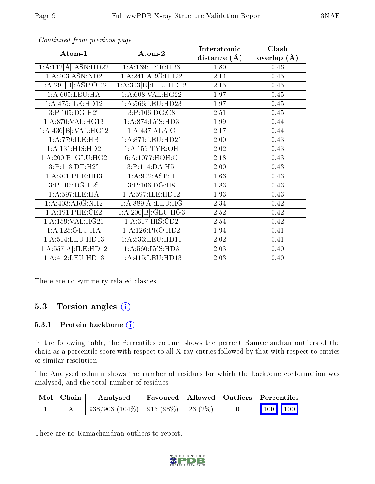| Atom-1                               | Atom-2              | Interatomic    | Clash         |  |
|--------------------------------------|---------------------|----------------|---------------|--|
|                                      |                     | distance $(A)$ | overlap $(A)$ |  |
| 1:A:112[A]:ASN:HD22                  | 1:A:139:TYR:HB3     | 1.80           | 0.46          |  |
| 1:A:203:ASN:ND2                      | 1:A:241:ARG:HH22    | 2.14           | 0.45          |  |
| 1:A:291[B]:ASP:OD2                   | 1:A:303[B]:LEU:HD12 | 2.15           | 0.45          |  |
| 1: A:605:LEU:HA                      | 1: A:608: VAL:HG22  | 1.97           | 0.45          |  |
| 1:A:475:ILE:HD12                     | 1:A:566:LEU:HD23    | 1.97           | 0.45          |  |
| 3:P:105:DG:H2"                       | 3:P:106:DG:C8       | 2.51           | 0.45          |  |
| 1: A:870: VAL:HG13                   | 1: A:874: LYS: HD3  | 1.99           | 0.44          |  |
| 1:A:436[B]:VAL:H <sub>G12</sub>      | 1:A:437:ALA:O       | 2.17           | 0.44          |  |
| 1:A:779:ILE:HB                       | 1:A:871:LEU:HD21    | 2.00           | 0.43          |  |
| 1:A:131:HIS:HD2                      | 1: A: 156: TYR: OH  | 2.02           | 0.43          |  |
| 1:A:200[B]:GLU:HG2                   | 6:A:1077:HOH:O      | 2.18           | 0.43          |  |
| 3:P:113:DT:H2"                       | 3:P:114:DA:H5'      | 2.00           | 0.43          |  |
| 1:A:901:PHE:HB3                      | 1:A:902:ASP:H       | 1.66           | 0.43          |  |
| 3:P:105:DG:H2"                       | 3:P:106:DG:H8       | 1.83           | 0.43          |  |
| 1:A:597:ILE:HA                       | 1:A:597:ILE:HD12    | 1.93           | 0.43          |  |
| 1:A:403:ARG:NH2                      | 1:A:889[A]:LEU:HG   | 2.34           | 0.42          |  |
| 1: A:191:PHE:CE2                     | 1:A:200[B]:GLU:HG3  | 2.52           | 0.42          |  |
| $1:A:159:\overline{\text{VAL:HG21}}$ | 1: A:317: HIS: CD2  | 2.54           | 0.42          |  |
| 1: A: 125: GLU: HA                   | 1: A:126: PRO:HD2   | 1.94           | 0.41          |  |
| 1:A:514:LEU:HD13                     | 1:A:533:LEU:HD11    | 2.02           | 0.41          |  |
| 1:A:557[A]:ILE:HD12                  | 1:A:560:LYS:HD3     | 2.03           | 0.40          |  |
| 1:A:412:LEU:HD13                     | 1:A:415:LEU:HD13    | 2.03           | 0.40          |  |

Continued from previous page...

There are no symmetry-related clashes.

### 5.3 Torsion angles (i)

#### 5.3.1 Protein backbone (i)

In the following table, the Percentiles column shows the percent Ramachandran outliers of the chain as a percentile score with respect to all X-ray entries followed by that with respect to entries of similar resolution.

The Analysed column shows the number of residues for which the backbone conformation was analysed, and the total number of residues.

| Mol   Chain | Analysed                                        |  | $\perp$ Favoured   Allowed   Outliers   Percentiles |  |
|-------------|-------------------------------------------------|--|-----------------------------------------------------|--|
|             | $938/903$ $(104\%)$   915 $(98\%)$   23 $(2\%)$ |  | $\vert$ 100 100 $\vert$                             |  |

There are no Ramachandran outliers to report.

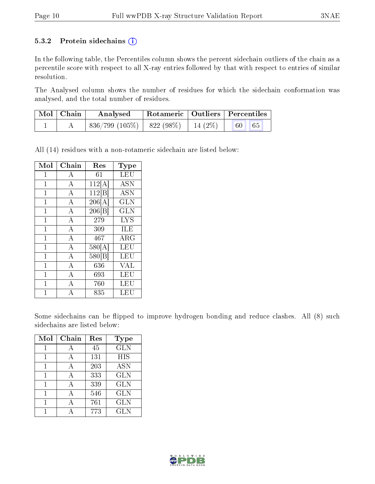#### 5.3.2 Protein sidechains  $(i)$

In the following table, the Percentiles column shows the percent sidechain outliers of the chain as a percentile score with respect to all X-ray entries followed by that with respect to entries of similar resolution.

The Analysed column shows the number of residues for which the sidechain conformation was analysed, and the total number of residues.

| Mol   Chain | Analysed                                    |  | Rotameric   Outliers   Percentiles |  |
|-------------|---------------------------------------------|--|------------------------------------|--|
|             | $836/799 (105\%)$   $822 (98\%)$   14 (2\%) |  | 65<br>60                           |  |

All (14) residues with a non-rotameric sidechain are listed below:

| Mol            | Chain              | Res                | <b>Type</b>               |
|----------------|--------------------|--------------------|---------------------------|
| $\overline{1}$ | A                  | 61                 | LEU                       |
| $\mathbf{1}$   | $\overline{A}$     | 112[A]             | $\overline{\mathrm{ASN}}$ |
| $\mathbf{1}$   | $\bf{A}$           | 112 B              | <b>ASN</b>                |
| $\mathbf{1}$   | $\overline{A}$     | 206[A]             | GLN                       |
| $\overline{1}$ | $\overline{A}$     | 206 B              | GLN                       |
| $\mathbf{1}$   | $\overline{A}$     | 279                | <b>LYS</b>                |
| $\mathbf{1}$   | $\overline{A}$     | 309                | ILE                       |
| 1              | $\overline{A}$     | 467                | ARG                       |
| $\overline{1}$ | $\bf{A}$           | 580[A]             | LEU                       |
| $\mathbf{1}$   | $\overline{\rm A}$ | 580 <sub>[B]</sub> | LEU                       |
| $\overline{1}$ | $\overline{A}$     | 636                | <b>VAL</b>                |
| 1              | $\overline{\rm A}$ | 693                | LEU                       |
| 1              | $\mathbf{A}$       | 760                | LEU                       |
| 1              | А                  | 835                | LEU                       |

Some sidechains can be flipped to improve hydrogen bonding and reduce clashes. All (8) such sidechains are listed below:

| Mol | Chain        | Res | Type       |
|-----|--------------|-----|------------|
|     | А            | 45  | <b>GLN</b> |
| 1   | А            | 131 | <b>HIS</b> |
| 1   | А            | 203 | <b>ASN</b> |
| 1   | $\mathbf{A}$ | 333 | <b>GLN</b> |
| 1   | А            | 339 | <b>GLN</b> |
|     | А            | 546 | <b>GLN</b> |
|     |              | 761 | <b>GLN</b> |
|     |              | 773 | <b>GLN</b> |

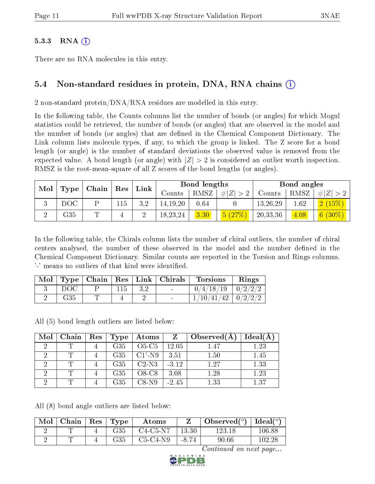#### $5.3.3$  RNA  $(i)$

There are no RNA molecules in this entry.

### 5.4 Non-standard residues in protein, DNA, RNA chains (i)

2 non-standard protein/DNA/RNA residues are modelled in this entry.

In the following table, the Counts columns list the number of bonds (or angles) for which Mogul statistics could be retrieved, the number of bonds (or angles) that are observed in the model and the number of bonds (or angles) that are defined in the Chemical Component Dictionary. The Link column lists molecule types, if any, to which the group is linked. The Z score for a bond length (or angle) is the number of standard deviations the observed value is removed from the expected value. A bond length (or angle) with  $|Z| > 2$  is considered an outlier worth inspection. RMSZ is the root-mean-square of all Z scores of the bond lengths (or angles).

| Mol |      | $\mid$ Chain $\mid$ Res |     | Link |            | Bond lengths |             |          | Bond angles |                     |
|-----|------|-------------------------|-----|------|------------|--------------|-------------|----------|-------------|---------------------|
|     | Type |                         |     |      | Counts     | RMSZ         | # $ Z  > 2$ | Counts   | RMSZ        | H  Z                |
|     | DOC  |                         | 115 | 3.2  | 14, 19, 20 | 0.64         |             | 13,26,29 | 1.62        | (15%)<br>$\sqrt{2}$ |
|     | G35  |                         | 4   |      | 18, 23, 24 | 3.30         | 5(27%)      | 20,33,36 | 4.08        | $(6 (30\%)$         |

In the following table, the Chirals column lists the number of chiral outliers, the number of chiral centers analysed, the number of these observed in the model and the number defined in the Chemical Component Dictionary. Similar counts are reported in the Torsion and Rings columns. '-' means no outliers of that kind were identified.

| Mol |     |  | $\vert$ Type $\vert$ Chain $\vert$ Res $\vert$ Link $\vert$ Chirals $\vert$ | <b>Torsions</b>          | Rings |
|-----|-----|--|-----------------------------------------------------------------------------|--------------------------|-------|
|     | DOC |  | <b>Contract</b>                                                             | $0/4/18/19$   $0/2/2/2$  |       |
|     | G35 |  | $\sim$                                                                      | $1/10/41/42$   $0/2/2/2$ |       |

All (5) bond length outliers are listed below:

| Mol | Chain | $\operatorname{Res}$ | <b>Type</b> | $\boldsymbol{\mathrm{Atoms}}$ | Z       | Observed $(A)$ | Ideal(A |
|-----|-------|----------------------|-------------|-------------------------------|---------|----------------|---------|
| റ   |       |                      | G35         | $O5-C5$                       | 12.05   | 1.47           | 1.23    |
| ച   |       |                      | G35         | $C1'$ -N9                     | 3.51    | 1.50           | 1.45    |
| ച   |       |                      | G35         | $C2-N3$                       | $-3.12$ | 1.27           | 1.33    |
| ച   |       |                      | G35         | $O8-C8$                       | 3.08    | 1.28           | 1.23    |
|     |       |                      | G35         | C8-N9                         | $-2.45$ | 1.33           | 1.37    |

All (8) bond angle outliers are listed below:

| Mol | Chain | $\vert$ Res $\vert$ Type | Atoms      |         | Observed $(°)$ | Ideal $(°)$ |
|-----|-------|--------------------------|------------|---------|----------------|-------------|
|     |       | G35                      | $C4-C5-N7$ | 13.30   | 123.18         | $106.88\,$  |
|     |       | G35                      | $C5-C4-N9$ | $-8.74$ | 90.66          | 102.28      |

Continued on next page...

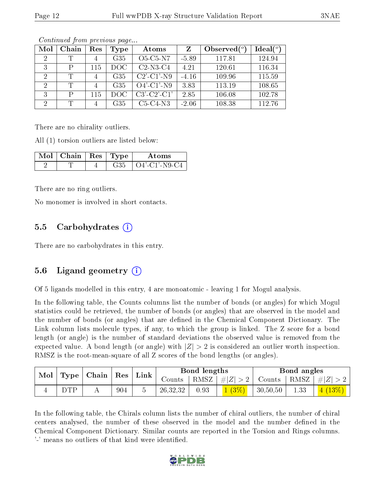| Mol            | Chain        | Res            | Type | Atoms             | Z       | Observed $(°)$ | Ideal $(°)$ |
|----------------|--------------|----------------|------|-------------------|---------|----------------|-------------|
| 2              | Τ            | $\overline{4}$ | G35  | $O5-C5-N7$        | $-5.89$ | 117.81         | 124.94      |
| 3              | P            | 115            | DOC  | $C2-N3-C4$        | 4.21    | 120.61         | 116.34      |
| $\overline{2}$ | Т            |                | G35  | $C2'$ - $C1'$ -N9 | $-4.16$ | 109.96         | 115.59      |
| $\overline{2}$ | Т            |                | G35  | $O4'$ -C1'-N9     | 3.83    | 113.19         | 108.65      |
| 3              | $\mathbf{P}$ | 115            | DOC. | $C3'-C2'-C1'$     | 2.85    | 106.08         | 102.78      |
| 2              | Т            |                | G35  | $C5-C4-N3$        | $-2.06$ | 108.38         | 112.76      |

Continued from previous page...

There are no chirality outliers.

All (1) torsion outliers are listed below:

| $\pm$ Mol $\pm$ Chain $\pm$ Res $\pm$ Type $\pm$ |     | Atoms             |
|--------------------------------------------------|-----|-------------------|
|                                                  | 635 | + O4'-C1'-N9-C4 + |

There are no ring outliers.

No monomer is involved in short contacts.

#### 5.5 Carbohydrates (i)

There are no carbohydrates in this entry.

#### 5.6 Ligand geometry (i)

Of 5 ligands modelled in this entry, 4 are monoatomic - leaving 1 for Mogul analysis.

In the following table, the Counts columns list the number of bonds (or angles) for which Mogul statistics could be retrieved, the number of bonds (or angles) that are observed in the model and the number of bonds (or angles) that are dened in the Chemical Component Dictionary. The Link column lists molecule types, if any, to which the group is linked. The Z score for a bond length (or angle) is the number of standard deviations the observed value is removed from the expected value. A bond length (or angle) with  $|Z| > 2$  is considered an outlier worth inspection. RMSZ is the root-mean-square of all Z scores of the bond lengths (or angles).

| $\bf{Mol}_\parallel$ |     |  |     | $\mid$ Type $\mid$ Chain $\mid$ Res $\mid$ Link $\mid$ | Bond lengths |      |                    | Bond angles   |      |         |
|----------------------|-----|--|-----|--------------------------------------------------------|--------------|------|--------------------|---------------|------|---------|
|                      |     |  |     |                                                        | Counts       |      | RMSZ   $\# Z  > 2$ | Counts   RMSZ |      | $\# Z $ |
|                      | ntd |  | 904 |                                                        | 26,32,32     | 0.93 | $1(3\%)$           | 30,50,50      | 1.33 | (4(13%) |

In the following table, the Chirals column lists the number of chiral outliers, the number of chiral centers analysed, the number of these observed in the model and the number defined in the Chemical Component Dictionary. Similar counts are reported in the Torsion and Rings columns. '-' means no outliers of that kind were identified.

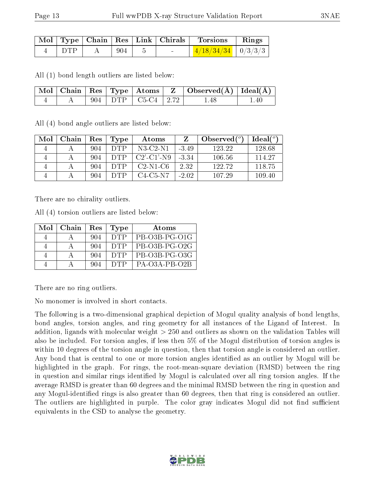|       |     |  | $\perp$ Mol $\mid$ Type $\mid$ Chain $\mid$ Res $\mid$ Link $\mid$ Chirals $\mid$ Torsions | $\parallel$ Rings |
|-------|-----|--|--------------------------------------------------------------------------------------------|-------------------|
| ∣ DTP | 904 |  | $\left\lceil \frac{4/18/34/34}{4} \right\rceil \frac{0}{3/3/3}$                            |                   |

All (1) bond length outliers are listed below:

|  |  |                                  | $\boxed{\text{ Mol }   \text{ Chain }   \text{ Res }   \text{ Type }   \text{ Atoms }   \text{ Z }   \text{ Observed}(\AA)  \text{ Ideal}(\AA)  }$ |      |
|--|--|----------------------------------|----------------------------------------------------------------------------------------------------------------------------------------------------|------|
|  |  | $\vert$ 904   DTP   C5-C4   2.72 | 1.48                                                                                                                                               | 1.40 |

All (4) bond angle outliers are listed below:

| Mol | Chain | Res | <b>Type</b> | Atoms                |         | Observed $(°)$ | Ideal (°) |
|-----|-------|-----|-------------|----------------------|---------|----------------|-----------|
|     |       | 904 | DTP         | $N3$ -C2- $N1$       | $-3.49$ | 123.22         | 128.68    |
|     |       | 904 | DTP         | $C2'$ - $C1'$ - $N9$ | $-3.34$ | 106.56         | 114.27    |
|     |       | 904 | DTP         | $C2-N1-C6$           | 2.32    | 122.72         | 118.75    |
|     |       | 904 |             | $C4-C5-N7$           | $-2.02$ | 107.29         | 109.40    |

There are no chirality outliers.

All (4) torsion outliers are listed below:

| Mol | Chain | Res | Type       | Atoms           |
|-----|-------|-----|------------|-----------------|
|     |       | 904 | <b>DTP</b> | PB-O3B-PG-O1G   |
|     |       | 904 | <b>DTP</b> | PB-O3B-PG-O2G   |
|     |       | 904 | <b>DTP</b> | PB-O3B-PG-O3G   |
|     |       | 904 | <b>DTP</b> | $PA-O3A-PB-O2B$ |

There are no ring outliers.

No monomer is involved in short contacts.

The following is a two-dimensional graphical depiction of Mogul quality analysis of bond lengths, bond angles, torsion angles, and ring geometry for all instances of the Ligand of Interest. In addition, ligands with molecular weight > 250 and outliers as shown on the validation Tables will also be included. For torsion angles, if less then 5% of the Mogul distribution of torsion angles is within 10 degrees of the torsion angle in question, then that torsion angle is considered an outlier. Any bond that is central to one or more torsion angles identified as an outlier by Mogul will be highlighted in the graph. For rings, the root-mean-square deviation (RMSD) between the ring in question and similar rings identified by Mogul is calculated over all ring torsion angles. If the average RMSD is greater than 60 degrees and the minimal RMSD between the ring in question and any Mogul-identified rings is also greater than 60 degrees, then that ring is considered an outlier. The outliers are highlighted in purple. The color gray indicates Mogul did not find sufficient equivalents in the CSD to analyse the geometry.

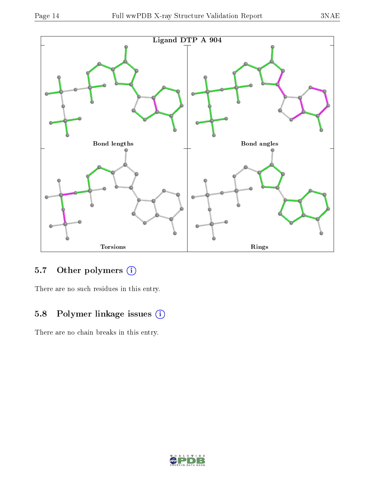

### 5.7 [O](https://www.wwpdb.org/validation/2017/XrayValidationReportHelp#nonstandard_residues_and_ligands)ther polymers (i)

There are no such residues in this entry.

## 5.8 Polymer linkage issues (i)

There are no chain breaks in this entry.

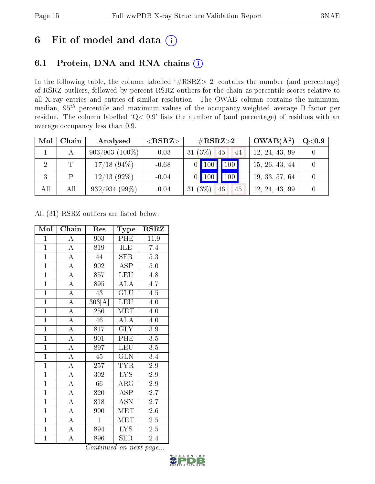# 6 Fit of model and data  $(i)$

### 6.1 Protein, DNA and RNA chains  $(i)$

In the following table, the column labelled  $#RSRZ> 2'$  contains the number (and percentage) of RSRZ outliers, followed by percent RSRZ outliers for the chain as percentile scores relative to all X-ray entries and entries of similar resolution. The OWAB column contains the minimum, median,  $95<sup>th</sup>$  percentile and maximum values of the occupancy-weighted average B-factor per residue. The column labelled ' $Q< 0.9$ ' lists the number of (and percentage) of residues with an average occupancy less than 0.9.

| Mol            | Chain | Analysed         | ${ <\hspace{-1.5pt}{\mathrm{RSRZ}} \hspace{-1.5pt}>}$ | $\rm \#RSRZ{>}2$           | $OWAB(A^2)$    | $Q<$ 0.9 |
|----------------|-------|------------------|-------------------------------------------------------|----------------------------|----------------|----------|
|                |       | $903/903(100\%)$ | $-0.03$                                               | $31(3\%)$<br> 45<br>44     | 12, 24, 43, 99 |          |
| $\overline{2}$ | Т     | $17/18$ (94\%)   | $-0.68$                                               | 100<br>100                 | 15, 26, 43, 44 |          |
|                |       | $12/13$ (92%)    | $-0.04$                                               | $\vert$ 100 $\vert$<br>100 | 19, 33, 57, 64 |          |
| All            | All   | $932/934(99\%)$  | $-0.04$                                               | 31 $(3%)$<br>46<br>45      | 12, 24, 43, 99 |          |

All (31) RSRZ outliers are listed below:

| Mol            | Chain              | Res              | <b>Type</b>             | <b>RSRZ</b>      |
|----------------|--------------------|------------------|-------------------------|------------------|
| $\mathbf{1}$   | A                  | 903              | PHE                     | 11.9             |
| $\overline{1}$ | $\overline{\rm A}$ | 819              | <b>ILE</b>              | 7.4              |
| $\overline{1}$ | $\overline{\rm A}$ | 44               | <b>SER</b>              | 5.3              |
| $\overline{1}$ | $\overline{A}$     | $\overline{902}$ | <b>ASP</b>              | $5.0\,$          |
| $\overline{1}$ | $\overline{A}$     | 857              | <b>LEU</b>              | 4.8              |
| $\overline{1}$ | $\overline{\rm A}$ | 895              | $\overline{ALA}$        | $\overline{4.7}$ |
| $\overline{1}$ | $\overline{\rm A}$ | 43               | GLU                     | 4.5              |
| $\overline{1}$ | $\overline{\rm A}$ | 303[A]           | <b>LEU</b>              | 4.0              |
| $\overline{1}$ | $\overline{\rm A}$ | 256              | <b>MET</b>              | 4.0              |
| $\overline{1}$ | $\overline{\rm A}$ | 46               | <b>ALA</b>              | 4.0              |
| $\overline{1}$ | $\overline{\rm A}$ | 817              | $\overline{\text{GLY}}$ | $\overline{3.9}$ |
| $\mathbf{1}$   | $\overline{\rm A}$ | 901              | PHE                     | 3.5              |
| $\overline{1}$ | $\overline{\rm A}$ | 897              | <b>LEU</b>              | 3.5              |
| $\overline{1}$ | $\overline{\rm A}$ | 45               | $\overline{\rm GLN}$    | 3.4              |
| $\overline{1}$ | $\overline{\rm A}$ | $\overline{2}57$ | <b>TYR</b>              | 2.9              |
| $\overline{1}$ | $\overline{\rm A}$ | 302              | $\overline{\text{LYS}}$ | 2.9              |
| $\overline{1}$ | $\overline{A}$     | 66               | $\rm{ARG}$              | 2.9              |
| $\overline{1}$ | $\overline{A}$     | 820              | <b>ASP</b>              | 2.7              |
| $\overline{1}$ | $\overline{\rm A}$ | 818              | <b>ASN</b>              | 2.7              |
| $\overline{1}$ | $\overline{\rm A}$ | 900              | MET                     | 2.6              |
| $\mathbf{1}$   | $\overline{\rm A}$ | $\mathbf{1}$     | MET                     | 2.5              |
| $\mathbf{1}$   | $\overline{\rm A}$ | 894              | <b>LYS</b>              | $2.5\,$          |
| $\overline{1}$ | $\overline{\rm A}$ | 896              | <b>SER</b>              | 2.4              |

Continued on next page...

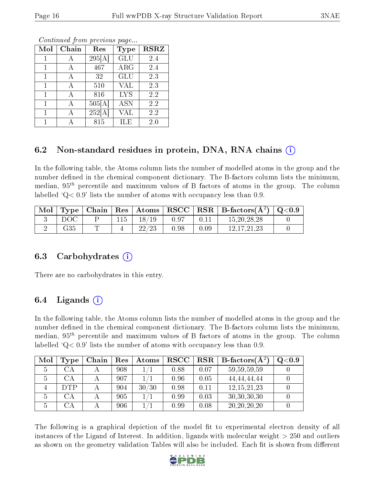| Mol | Chain | Res    | Type       | <b>RSRZ</b> |
|-----|-------|--------|------------|-------------|
|     |       | 295[A] | GLU        | 2.4         |
|     |       | 467    | <b>ARG</b> | 2.4         |
|     |       | 32     | GLU        | 2.3         |
|     |       | 510    | <b>VAL</b> | 2.3         |
|     |       | 816    | <b>LYS</b> | 2.2         |
|     |       | 505[A] | <b>ASN</b> | 2.2         |
|     |       | 252[A  | VAL        | 2.2         |
|     |       | 815    | ILE        | 2.0         |

Continued from previous page...

### 6.2 Non-standard residues in protein, DNA, RNA chains (i)

In the following table, the Atoms column lists the number of modelled atoms in the group and the number defined in the chemical component dictionary. The B-factors column lists the minimum, median,  $95<sup>th</sup>$  percentile and maximum values of B factors of atoms in the group. The column labelled  $Q< 0.9$ ' lists the number of atoms with occupancy less than 0.9.

| Mol |     |     |       |      |      | Type   Chain   Res   Atoms   RSCC   RSR   B-factors $(\AA^2)$   Q<0.9 |  |
|-----|-----|-----|-------|------|------|-----------------------------------------------------------------------|--|
|     | DOC | 115 | 18/19 | 0.97 |      | 15, 20, 28, 28                                                        |  |
|     | G35 |     | 22/23 | 0.98 | 0.09 | 12.17.21.23                                                           |  |

#### 6.3 Carbohydrates (i)

There are no carbohydrates in this entry.

#### 6.4 Ligands  $(i)$

In the following table, the Atoms column lists the number of modelled atoms in the group and the number defined in the chemical component dictionary. The B-factors column lists the minimum, median,  $95<sup>th</sup>$  percentile and maximum values of B factors of atoms in the group. The column labelled  $\mathcal{Q} < 0.9$  lists the number of atoms with occupancy less than 0.9.

| Mol           | Type                   | Chain | Res | Atoms | <b>RSCC</b> | <b>RSR</b> | <b>B</b> -factors( $\overline{A^2}$ ) | Q <sub>0.9</sub> |
|---------------|------------------------|-------|-----|-------|-------------|------------|---------------------------------------|------------------|
| $\mathcal{D}$ | ΞА                     |       | 908 |       | 0.88        | 0.07       | 59, 59, 59, 59                        |                  |
|               | $\mathbb{C}\mathrm{A}$ |       | 907 |       | 0.96        | 0.05       | 44, 44, 44, 44                        |                  |
|               | <b>DTP</b>             |       | 904 | 30/30 | 0.98        | 0.11       | 12, 15, 21, 23                        |                  |
|               | $\Delta A$             |       | 905 |       | 0.99        | 0.03       | 30, 30, 30, 30                        |                  |
|               |                        |       | 906 |       | 0.99        | 0.08       | 20, 20, 20, 20                        |                  |

The following is a graphical depiction of the model fit to experimental electron density of all instances of the Ligand of Interest. In addition, ligands with molecular weight > 250 and outliers as shown on the geometry validation Tables will also be included. Each fit is shown from different